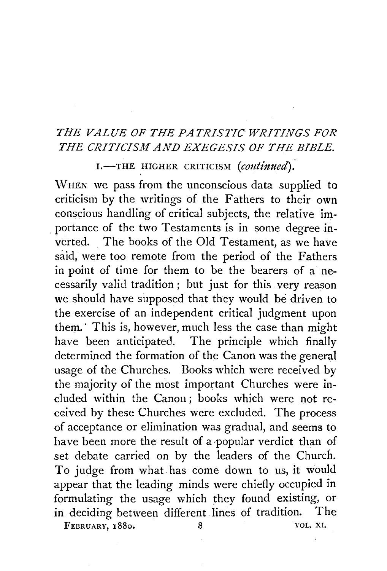## *THE VALUE OF THE PATRISTIC WRITINGS FOR THE CRITICISM AND EXEGESIS OF THE BIBLE.*

I.-THE HIGHER CRITICISM (continued).

WHEN we pass from the unconscious data supplied to criticism by the writings of the Fathers to their own conscious handling of critical subjects, the relative im- . portance of the two Testaments is in some degree inverted. The books of the Old Testament, as we have said, were too remote from the period of the Fathers in point of time for them to be the bearers of a necessarily valid tradition ; but just for this very reason we should have supposed that they would be driven to the exercise of an independent critical judgment upon them.· This is, however, much less the case than might have been anticipated. The principle which finally determined the formation of the Canon was the general usage of the Churches. Books which were received by the majority of the most important Churches were included within the Canon ; books which were not received by these Churches were excluded. The process of acceptance or elimination was gradual, and seems to have been more the result of a popular verdict than of set debate carried on by the leaders of the Church. To judge from what has come down to us, it would appear that the leading minds were chiefly occupied in formulating the usage which they found existing, or in. deciding between different lines of tradition. The FEBRUARY, 1880. 8 VOL. XI.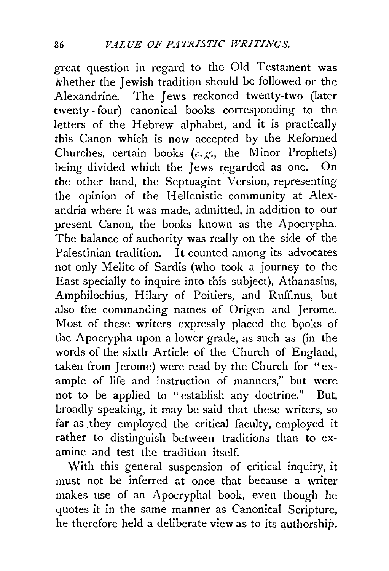great question in regard to the Old Testament was whether the Jewish tradition should be followed or the Alexandrine. The Jews reckoned twenty-two (later twenty- four) canonical books corresponding to the letters of the Hebrew alphabet, and it is practically this Canon which is now accepted by the Reformed Churches, certain books  $(e, g, \cdot)$  the Minor Prophets) being divided which the Jews regarded as one. On the other hand, the Septuagint Version, representing the opinion of the Hellenistic community at Alexandria where it was made, admitted, in addition to our present Canon, the books known as the Apocrypha. The balance of authority was really on the side of the Palestinian tradition. It counted among its advocates not only Melito of Sardis (who took a journey to the East specially to inquire into this subject), Athanasius, Amphilochius, Hilary of Poitiers, and Ruffinus, but also the commanding names of Origen and Jerome. Most of these writers expressly placed the books of the Apocrypha upon a lower grade, as such as (in the words of the sixth Article of the Church of England, taken from Jerome) were read by the Church for "example of life and instruction of manners," but were not to be applied to "establish any doctrine." But, broadly speaking, it may be said that these writers, so far as they employed the critical faculty, employed it rather to distinguish between traditions than to examine and test the tradition itself.

With this general suspension of critical inquiry, it must not be inferred at once that because a writer makes use of an Apocryphal book, even though he quotes it in the same manner as Canonical Scripture, he therefore held a deliberate view as to its authorship.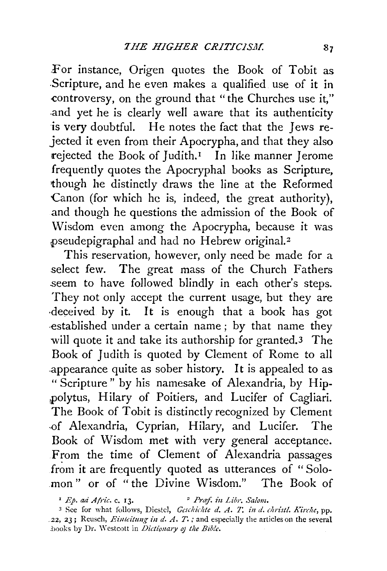For instance, Origen quotes the Book of Tobit as .Scripture, and he even makes a qualified use of it in controversy, on the ground that "the Churches use it," .and yet he is clearly well aware that its authenticity is very doubtful. He notes the fact that the Jews rejected it even from their Apocrypha, and that they also rejected the Book of Judith.<sup>1</sup> In like manner Jerome frequently quotes the Apocryphal books as Scripture, though he distinctly draws the line at the Reformed Canon (for which he is, indeed, the great authority), and though he questions the admission of the Book of Wisdom even among the Apocrypha, because it was pseudepigraphal and had no Hebrew original.<sup>2</sup>

This reservation, however, only need be made for a select few. The great mass of the Church Fathers seem to have followed blindly in each other's steps. They not only accept the current usage, but they are ·deceived by it. It is enough that a book has got .established under a certain name ; by that name they will quote it and take its authorship for granted.<sup>3</sup> The Book of Judith is quoted by Clement of Rome to all .appearance quite as sober history. It is appealed to as "Scripture" by his namesake of Alexandria, by Hippolytus, Hilary of Poitiers, and Lucifer of Cagliari. The Book of Tobit is distinctly recognized by Clement -of Alexandria, Cyprian, Hilary, and Lucifer. The Book of Wisdom met with very general acceptance. From the time of Clement of Alexandria passages from it are frequently quoted as utterances of "Solomon" or of "the Divine Wisdom." The Book of

<sup>&</sup>lt;sup>1</sup> *Ep. ad Afric. c.* 13. <sup>2</sup> *Praf. in Libr. Salom.* 

<sup>&</sup>lt;sup>3</sup> See for what follows, Diestel, *Geschichte d. A. T. in d. christl. Kirche*, pp. .22, 23; Reusch, *Einteitung in d. A. T.*; and especially the articles on the several .books by Dr. \Y cstcott in *Dictionary* 0} *the Blb!e.*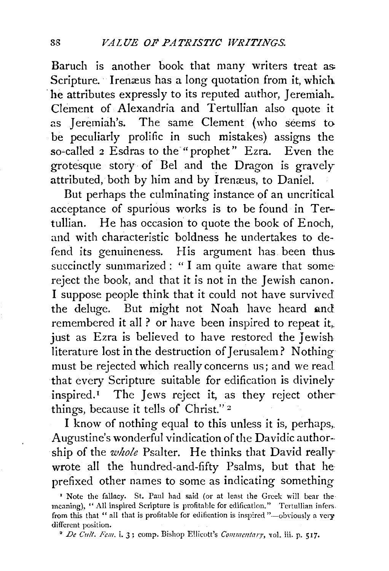Baruch is another book that many writers treat as: Scripture. Irenæus has a long quotation from it, which he attributes expressly to its reputed author, Jeremiah. Clement of Alexandria and Tertullian also quote it as Jeremiah's. The same Clement (who seems to be peculiarly prolific in such mistakes) assigns the so-called 2 Esdras to the "prophet" Ezra. Even the grotesque story of Bel and the Dragon is gravely attributed, both by him and by Irenæus, to Daniel.

But perhaps the culminating instance of an uncritical acceptance of spurious works is to be found in Tertullian. He has occasion to quote the book of Enoch, and with characteristic boldness he undertakes to defend its genuineness. His argument has been thus. succinctly summarized: "I am quite aware that somereject the book, and that it is not in the Jewish canon. I suppose people think that it could not have survived the deluge. But might not Noah have heard and remembered it all ? or have been inspired to repeat it,. just as Ezra is believed to have restored the Jewish literature lost in the destruction of Jerusalem? Nothing must be rejected which really concerns us; and we read that every Scripture suitable for edification is divinely inspired.<sup> $I$ </sup> The Jews reject it, as they reject other things, because it tells of Christ." 2

I know of nothing equal to this unless it is, perhaps,. Augustine's wonderful vindication of the Davidic author- ship of the *u'hole* Psalter. He thinks that David really wrote all the hundred-and-fifty Psalms, but that he prefixed other names to some as indicating something

<sup>&#</sup>x27; Note the fallacy. St. Paul had said (or at least the Greek will bear the· meaning), "All inspired Scripture is profitable for edification." Tertullian infers. from this that " all that is profitable for edification is inspired "-obviously a very different position.<br><sup>2</sup> *De Cult. Fem.* i. 3; comp. Bishop Ellicott's *Commentary*, vol. iii. p. 517.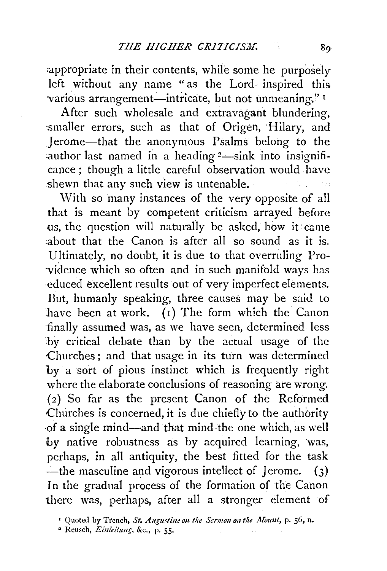appropriate in their contents, while some he purposely left without any name "as the Lord inspired this various arrangement-intricate, but not unmeaning."<sup>1</sup>

After such wholesale and extravagant blundering, smaller errors, such as that of Origen, Hilary, and Jerome-that the anonymous Psalms belong to the author last named in a heading  $2$ —sink into insignificance ; though a little careful observation would have .shewn that any such view is untenable.

With so many instances of the very opposite of all that is meant by competent criticism arrayed before us, the question will naturally be asked, how it came :about that the Canon is after all so sound as it is. Ultimately, no doubt, it is due to that overruling Pro vidence which so often and in such manifold ways has ·educed excellent results out of very imperfect elements. But, humanly speaking, three causes may be said to have been at work.  $(1)$  The form which the Canon finally assumed was, as we have seen, determined less by critical debate than by the actual usage of the ·Churches ; and that usage in its turn was determined by a sort of pious instinct which is frequently right where the elaborate conclusions of reasoning are wrong. (2) So far as the present Canon of the Reformed Churches is concerned, it is due chiefly to the authbrity ·of a single mind-and that mind the one which, as well by native robustness as by acquired learning, was, perhaps, in all antiquity, the best fitted for the task --the masculine and vigorous intellect of Jerome.  $(3)$ In the gradual process of the formation of the Canon there was, perhaps, after all a stronger element of

<sup>&</sup>lt;sup>1</sup> Quoted by Trench, *St. Augustine on the Sermon on the Mount*, p. 56, n.

<sup>•</sup> Reusch, *Einlcitu11g,* &c., p. *55·*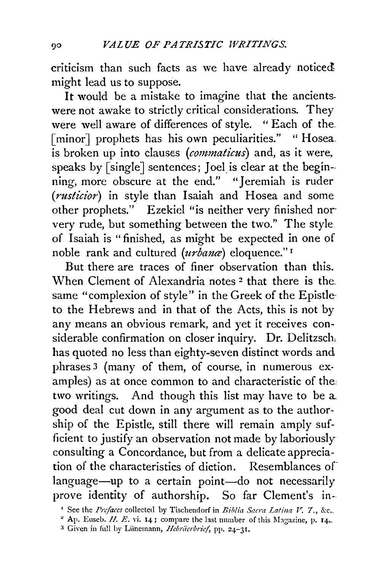criticism than such facts as we have already noticed might lead us to suppose.

It would be a mistake to imagine that the ancients. were not awake to strictly critical considerations. They were well aware of differences of style. " Each of the. [minor] prophets has his own peculiarities." "Hosea. is broken up into clauses *(commaticus)* and, as it were, speaks by [single] sentences; Joel is clear at the begin-ning, more obscure at the end." "Jeremiah is ruder *(rusticior)* in style than Isaiah and Hosea and some other prophets." Ezekiel "is neither very finished nor very rude, but something between the two." The style of Isaiah is "finished, as might be expected in one of noble rank and cultured (urbanæ) eloquence."<sup>1</sup>

But there are traces of finer observation than this. When Clement of Alexandria notes 2 that there is the. same "complexion of style" in the Greek of the Epistle· to the Hebrews and in that of the Acts, this is not by any means an obvious remark, and yet it receives considerable confirmation on closer inquiry. Dr. Delitzsch has quoted no less than eighty-seven distinct words and phrases 3 (many of them, of course, in numerous examples) as at once common to and characteristic of the two writings. And though this list may have to be a good deal cut down in any argument as to the authorship of the Epistle, still there will remain amply sufficient to justify an observation not made by laboriously consulting a Concordance, but from a delicate appreciation of the characteristics of diction. Resemblances of language-up to a certain point-do not necessarily prove identity of authorship. So far Clement's in-

<sup>&</sup>lt;sup>1</sup> See the *Prefaces* collected by Tischendorf in *Biblia Sacra Latina V. 7., &c.*..

<sup>&</sup>lt;sup>2</sup> Ap. Euseb.  $H. E.$  vi. 14; compare the last number of this Magazine, p. 14.

<sup>&</sup>lt;sup>3</sup> Given in full by Lünemann, *Hebräerbrief*, pp. 24-31.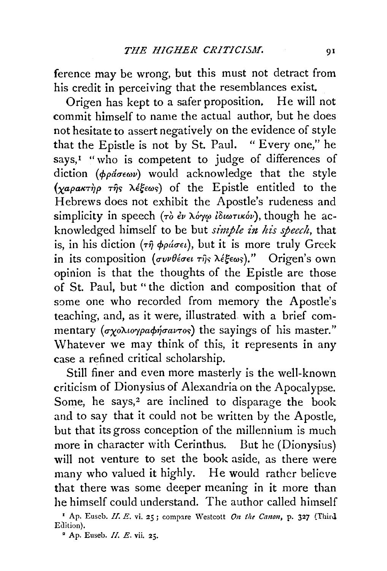ference may be wrong, but this must not detract from his credit in perceiving that the resemblances exist.

Origen has kept to a safer proposition. He will not commit himself to name the actual author, but he does not hesitate to assert negatively on the evidence of style that the Epistle is not by St. Paul. "Every one," he says,<sup> $I$ </sup> "who is competent to judge of differences of diction  $(\phi \rho \acute{a} \sigma \epsilon \omega \nu)$  would acknowledge that the style  $(\chi a \rho a \kappa \tau \eta \rho \tau \eta s \lambda \xi \epsilon \omega s)$  of the Epistle entitled to the Hebrews does not exhibit the Apostle's rudeness and simplicity in speech (τὸ ἐν λόγφ ἰδιωτικόν), though he acknowledged himself to be but *simple in his speech,* that is, in his diction (τη φράσει), but it is more truly Greek in its composition (συνθέσει της λέξεως)." Origen's own opinion is that the thoughts of the Epistle are those of St. Paul, but " the diction and composition that of some one who recorded from memory the Apostle's teaching, and, as it were, illustrated with a brief commentary  $(\sigma \chi \circ \lambda \omega)$   $\rho \circ \sigma \circ \chi \circ \sigma$  and the sayings of his master." Whatever we may think of this, it represents in any case a refined critical scholarship.

Still finer and even more masterly is the well-known criticism of Dionysius of Alexandria on the Apocalypse. Some, he says, $2$  are inclined to disparage the book and to say that it could not be written by the Apostle, but that its gross conception of the millennium is much more in character with Cerinthus. But he (Dionysius) will not venture to set the book aside, as there were many who valued it highly. He would rather believe that there was some deeper meaning in it more than he himself could understand. The author called himself

<sup>1</sup> Ap. Euseb. *II. E.* vi. 25; compare Westcott *On the Canon*, p. 327 (Third, Edition).

 $2^2$  Ap. Euseb. II. E. vii. 25.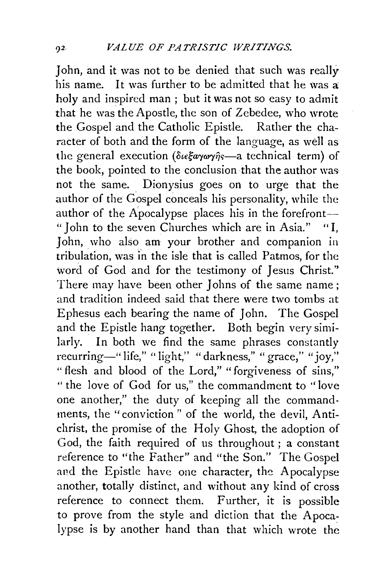John, and it was not to be denied that such was really his name. It was further to be admitted that he was a: holy and inspired man : but it was not so easy to admit that he was the Apostle, the son of Zebedee, who wrote the Gospel and the Catholic Epistle. Rather the character of both and the form of the language, as well as the general execution ( $\delta u \xi \alpha \gamma \omega \gamma \hat{\eta} s$ —a technical term) of the book, pointed to the conclusion that the author was not the same. Dionysius goes on to urge that the author of the Gospel conceals his personality, while the author of the Apocalypse places his in the forefront-" John to the seven Churches which are in Asia." "I, John, who also am your brother and companion in tribulation, was in the isle that is called Patmos, for the word of God and for the testimony of Jesus Christ." There may have been other Johns of the same name: and tradition indeed said that there were two tombs at Ephesus each bearing the name of John. The Gospel and the Epistle hang together. Both begin very similarly. In both we find the same phrases constantly recurring—" life," " light," " darkness," " grace," "joy," "flesh and blood of the Lord," "forgiveness of sins," " the love of God for us," the commandment to ''love one another," the duty of keeping all the commandments, the "conviction" of the world, the devil, Antichrist, the promise of the Holy Ghost, the adoption of God, the faith required of us throughout ; a constant reference to "the Father" and "the Son." The Gospel and the Epistle have one character, the Apocalypse another, totally distinct, and without any kind of cross reference to connect them. Further, it is possible to prove from the style and diction that the Apocalypse is by another hand than that which wrote the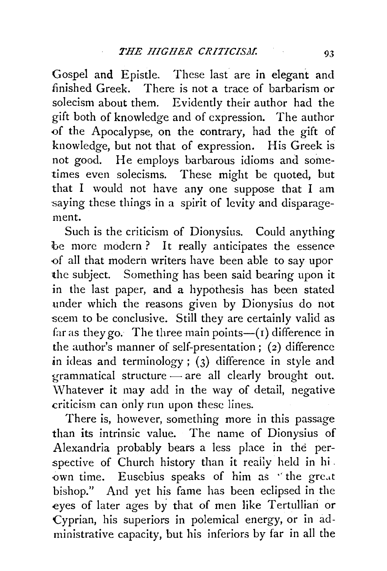Gospel and Epistle. These last are in elegant and finished Greek. There is not a trace of barbarism or solecism about them. Evidently their author had the gift both of knowledge and of expression. The author of the Apocalypse, on the contrary, had the gift of knowledge, but not that of expression. His Greek is not good. He employs barbarous idioms and sometimes even solecisms. These might be quoted, but that I would not have any one suppose that I am saying these things in a spirit of levity and disparagement.

Such is the criticism of Dionysius. Could anything be more modern? It really anticipates the essence '0f all that modern writers have been able to say upor the subject. Something has been said bearing upon it in the last paper, and a hypothesis has been stated under which the reasons given by Dionysius do not seem to be conclusive. Still they are certainly valid as far as they go. The three main points— $(r)$  difference in the author's manner of self-presentation; (2) difference in ideas and terminology ;  $(3)$  difference in style and  $grammatical structure - are all clearly brought out.$ Whatever it may add in the way of detail, negative criticism can only run upon these lines.

There is, however, something more in this passage than its intrinsic value. The name of Dionysius of Alexandria probably bears a less place in the perspective of Church history than it really held in hi . own time. Eusebius speaks of him as 'the great bishop." And yet his fame has been eclipsed in the eyes of later ages by that of men like Tertullian or Cyprian, his superiors in polemical energy, or in administrative capacity, but his inferiors by far in all the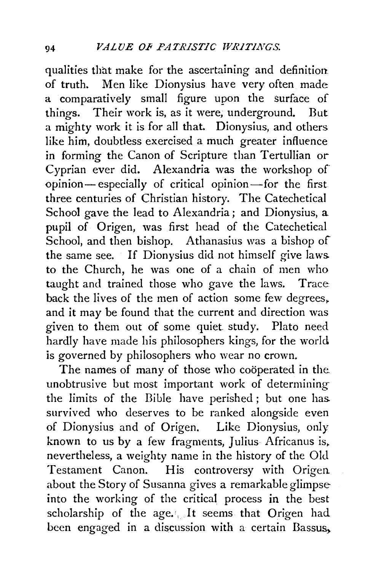qualities that make for the ascertaining and definition of truth. Men like Dionysius have very often made a comparatively small figure upon the surface of things. Their work is, as it were, underground. But a mighty work it is for all that. Dionysius, and others like him, doubtless exercised a much greater influence in forming the Canon of Scripture than Tertullian or Cyprian ever did. Alexandria was the workshop of opinion- especially of critical opinion-for the first three centuries of Christian history. The Catechetical School gave the lead to Alexandria; and Dionysius, a pupil of Origen, was first head of the Catechetical School, and then bishop. Athanasius was a bishop of the same see. If Dionysius did not himself give laws. to the Church, he was one of a chain of men who taught and trained those who gave the laws. Trace back the lives of the men of action some few degrees, and it may be found that the current and direction was given to them out of some quiet study. Plato need hardly have made his philosophers kings, for the world is governed by philosophers who wear no crown.

The names of many of those who cooperated in the. unobtrusive but most important work of determiningthe limits of the Bible have perished ; but one has. survived who deserves to be ranked alongside even of Dionysius and of Origen. Like Dionysius, only known to us by a few fragments, Julius Africanus is, nevertheless, a weighty name in the history of the Old Testament Canon. His controversy with Origen about the Story of Susanna gives a remarkable glimpse into the working of the critical process in the best scholarship of the age.', It seems that Origen had been engaged in a discussion with a certain Bassus,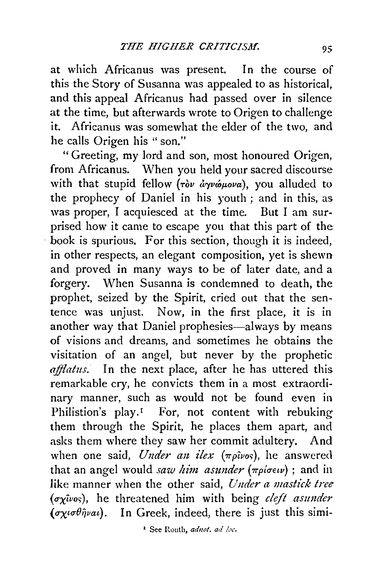at which Africanus was present. In the course of this the Story of Susanna was appealed to as historical, and this appeal Africanus had passed over in silence at the time, but afterwards wrote to Origen to challenge it. Africanus was somewhat the elder of the two, and he calls Origen his "son."

" Greeting, my lord and son, most honoured Origen, from Africanus. When you held your sacred discourse with that stupid fellow (ròv ayvopova), you alluded to the prophecy of Daniel in his youth ; and in this, as was proper, I acquiesced at the time. But I am surprised how it came to escape you that this part of the book is spurious. For this section, though it is indeed, in other respects, an elegant composition, yet is shewn and proved in many ways to be of later date, and a forgery. When Susanna is condemned to death, the prophet, seized by the Spirit, cried out that the sentence was unjust. Now, in the first place, it is in another way that Daniel prophesies—always by means of visions and dreams, and sometimes he obtains the visitation of an angel, but never by the prophetic afflatus. In the next place, after he has uttered this remarkable cry, he convicts them in a most extraordinary manner, such as would not be found even in Philistion's play.<sup>1</sup> For, not content with rebuking them through the Spirit, he places them apart, and asks them where they saw her commit adultery. And when one said, *Under an ilex* ( $\pi \rho \hat{i} \nu \sigma$ ), he answered that an angel would *saw him asunder* ( $\pi p$ *io* $\epsilon \nu$ ); and in like manner when the other said, *Under a mastick tree*  $(\sigma_X\hat{\mu}\nu_0s)$ , he threatened him with being *cleft asunder (oxiofipai)*. In Greek, indeed, there is just this simi-

<sup>1</sup> See Routh, adnot. ad loc.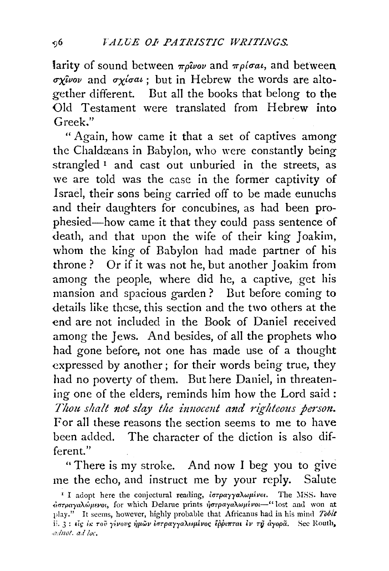larity of sound between  $m\omega$ *uov* and  $m\rho/\sigma a\iota$ , and between.  $\sigma x^2$ *ivov* and  $\sigma x^2$ *igai*; but in Hebrew the words are altogether different. But all the books that belong to the Old Testament were translated from Hebrew into Greek."

" Again, how came it that a set of captives among the Chaldæans in Babylon, who were constantly being strangled<sup>1</sup> and cast out unburied in the streets, as we are told was the case in the former captivity of Israel, their sons being carried off to be made eunuchs and their daughters for concubines, as had been prophesied-how came it that they could pass sentence of death, and that upon the wife of their king Joakim, whom the king of Babylon had made partner of his throne ? Or if it was not he, but another Joakim from among the people, where did he, a captive, get his mansion and spacious garden ? But before coming to details like these, this section and the two others at the end are not included in the Book of Daniel received among the Jews. And besides, of all the prophets who had gone before, not one has made use of a thought expressed by another; for their words being true, they had no poverty of them. But here Daniel, in threatening one of the elders, reminds him how the Lord said : *Thou shalt not slay the innocent and righteous person.* For all these reasons the section seems to me to have been added. The character of the diction is also different."

"There is my stroke. And now I beg you to give me the echo, and instruct me by your reply. Salute

<sup>&</sup>lt;sup>1</sup> I adopt here the conjectural reading,  $i\sigma\tau\rho\alpha\gamma\gamma\alpha\lambda\omega\mu\epsilon\nu\sigma$ . The MSS. have  $d$ στραγαλώμενοι, for which Delarue prints ήστραγαλωμένοι-" lost and won at play." It seems, however, highly probable that Africanus had in his mind *Tobit*  ii. *3*: είς *iκ τοῦ γίνους ἡμῶν ἐστραγγαλωμίνος ἔρριπται εν τη αγορ*ά. Sec Routh, *.aduot. a.! lot.*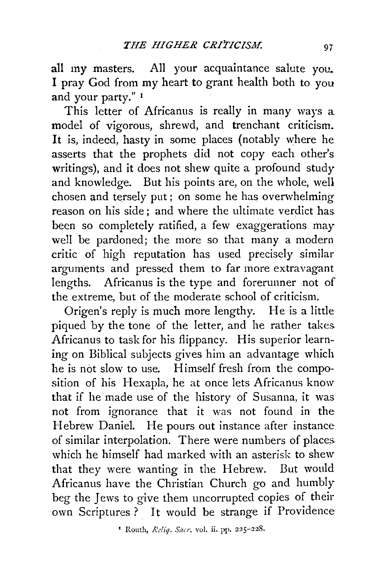all my masters. All your acquaintance salute you. I pray God from my heart to grant health both to you and your party." 1

This letter of Africanus is really in many ways a model of vigorous, shrewd, and trenchant criticism. It is, indeed, hasty in some places (notably where he asserts that the prophets did not copy each other's writings), and it does not shew quite a profound study and knowledge. But his points are, on the whole, well chosen and tersely put; on some he has overwhelming reason on his side; and where the ultimate verdict has. been so completely ratified, a few exaggerations may well be pardoned; the more so that many a modern critic of high reputation has used precisely similar arguments and pressed them to far more extravagant lengths. Africanus is the type and forerunner not of the extreme, but of the moderate school of criticism.

Origen's reply is much more lengthy. He is a little piqued by the tone of the letter, and he rather takes Africanus to task for his flippancy. His superior learning on Biblical subjects gives him an advantage which he is not slow to use. Himself fresh from the composition of his Hexapla, he at once lets Africanus know that if he made use of the history of Susanna, it was not from ignorance that it was not found in the Hebrew Daniel. He pours out instance after instance of similar interpolation. There were numbers of places which he himself had marked with an asterisk to shew that they were wanting in the Hebrew. But would Africanus have the Christian Church go and humbly beg the Jews to give them uncorrupted copies of their own Scriptures ? It would be strange if Providence

<sup>&#</sup>x27; Routh, *Rcliq. Sarr.* vol. ii. pp. 225-228.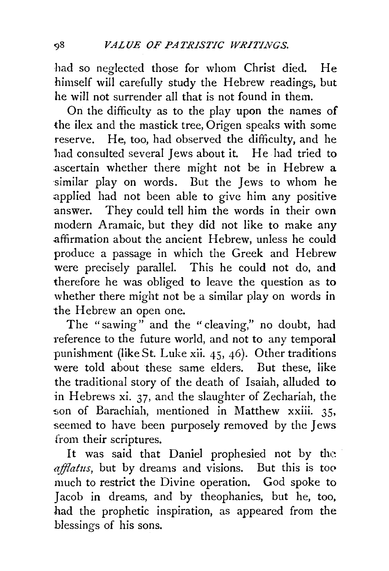had so neglected those for whom Christ died. He himself will carefully study the Hebrew readings, but he will not surrender all that is not found in them.

On the difficulty as to the play upon the names of the ilex and the mastick tree, Origen speaks with some reserve. He, too, had observed the difficulty, and he had consulted several Jews about it. He had tried to ascertain whether there might not be in Hebrew a similar play on words. But the Jews to whom he applied had not been able to give him any positive answer. They could tell him the words in their own modern Aramaic, but they did not like to make any affirmation about the ancient Hebrew, unless he could produce a passage in which the Greek and Hebrew were precisely parallel. This he could not do, and therefore he was obliged to leave the question as to whether there might not be a similar play on words in the Hebrew an open one.

The "sawing" and the "cleaving," no doubt, had reference to the future world, and not to any temporal punishment (like St. Luke xii. 45, 46). Other traditions were told about these same elders. But these, like the traditional story of the death of Isaiah, alluded to in Hebrews xi. 37, and the slaughter of Zechariah, the son of Barachiah, mentioned in Matthew xxiii. 35, seemed to have been purposely removed by the Jews from their scriptures.

It was said that Daniel prophesied not by the *afflatus*, but by dreams and visions. But this is too much to restrict the Divine operation. God spoke to Jacob in dreams, and by theophanies, but he, too, had the prophetic inspiration, as appeared from the blessings of his sons.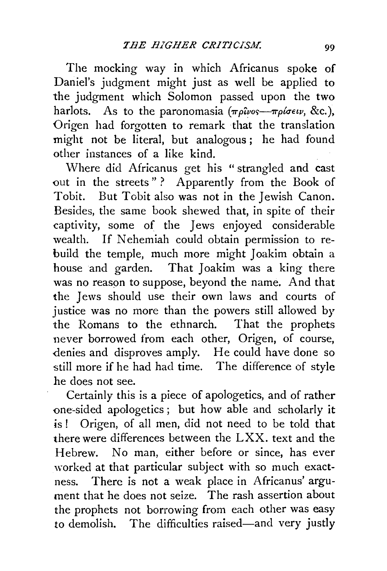The mocking way in which Africanus spoke of Daniel's judgment might just as well be applied to the judgment which Solomon passed upon the two harlots. As to the paronomasia  $(\pi \rho \hat{\mu} \nu s - \pi \rho \hat{\mu} \epsilon \nu v, \&c.),$ Origen had forgotten to remark that the translation might not be literal, but analogous ; he had found other instances of a like kind.

'Where did Africanus get his " strangled and cast out in the streets"? Apparently from the Book of Tobit. But Tobit also was not in the Jewish Canon. Besides, the same book shewed that, in spite of their captivity, some of the Jews enjoyed considerable wealth. If Nehemiah could obtain permission to rebuild the temple, much more might Joakim obtain a house and garden. That Joakim was a king there was no reason to suppose, beyond the name. And that the Jews should use their own laws and courts of justice was no more than the powers still allowed by the Romans to the ethnarch. That the prophets never borrowed from each other, Origen, of course, denies and disproves amply. He could have done so still more if he had had time. The difference of style he does not see.

Certainly this is a piece of apologetics, and of rather one-sided apologetics ; but how able and scholarly it is ! Origen, of all men, did not need to be told that there were differences between the LXX. text and the Hebrew. No man, either before or since, has ever worked at that particular subject with so much exactness. There is not a weak place in Africanus' argument that he does not seize. The rash assertion about the prophets not borrowing from each other was easy to demolish. The difficulties raised-and very justly